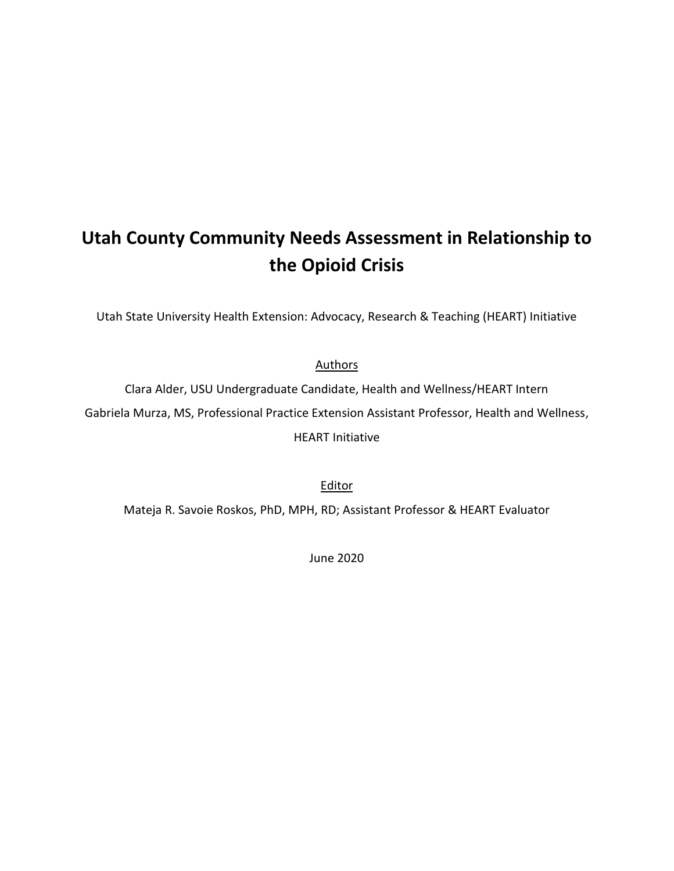## **Utah County Community Needs Assessment in Relationship to the Opioid Crisis**

Utah State University Health Extension: Advocacy, Research & Teaching (HEART) Initiative

**Authors** 

Clara Alder, USU Undergraduate Candidate, Health and Wellness/HEART Intern Gabriela Murza, MS, Professional Practice Extension Assistant Professor, Health and Wellness, HEART Initiative

Editor

Mateja R. Savoie Roskos, PhD, MPH, RD; Assistant Professor & HEART Evaluator

June 2020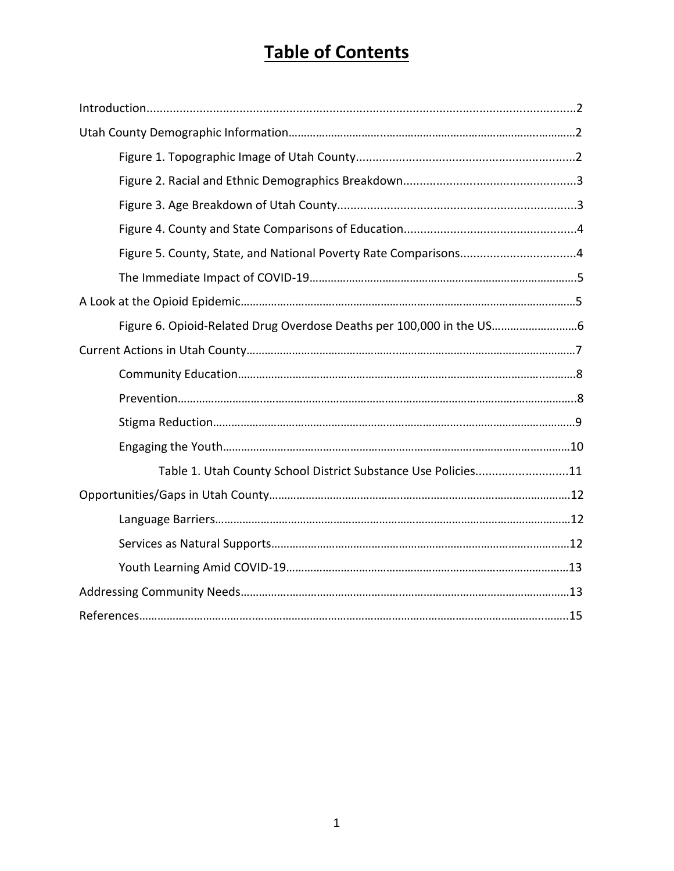# **Table of Contents**

| Figure 6. Opioid-Related Drug Overdose Deaths per 100,000 in the US |  |  |  |
|---------------------------------------------------------------------|--|--|--|
|                                                                     |  |  |  |
|                                                                     |  |  |  |
|                                                                     |  |  |  |
|                                                                     |  |  |  |
|                                                                     |  |  |  |
| Table 1. Utah County School District Substance Use Policies11       |  |  |  |
|                                                                     |  |  |  |
|                                                                     |  |  |  |
|                                                                     |  |  |  |
|                                                                     |  |  |  |
|                                                                     |  |  |  |
|                                                                     |  |  |  |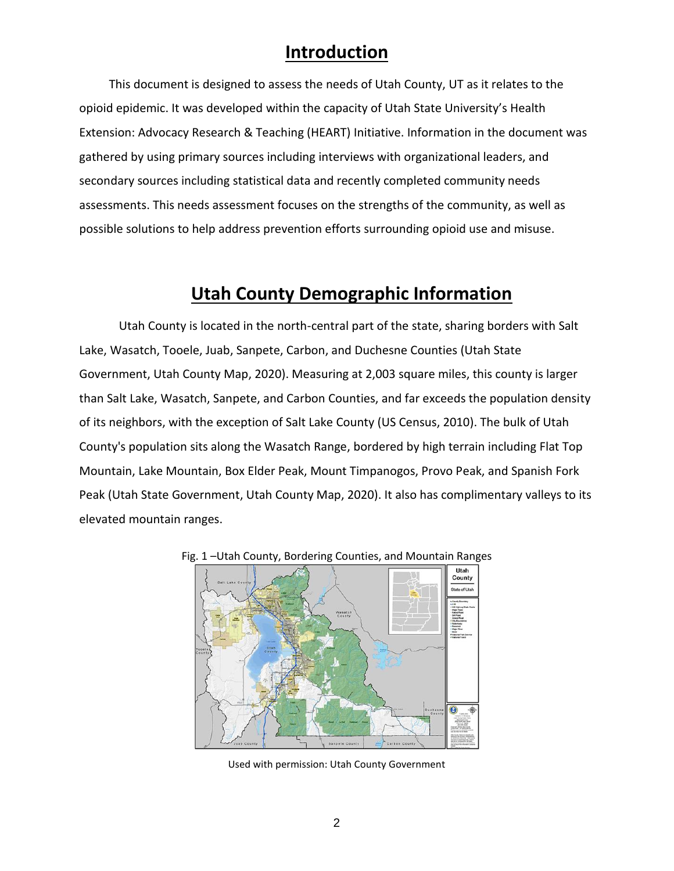### **Introduction**

This document is designed to assess the needs of Utah County, UT as it relates to the opioid epidemic. It was developed within the capacity of Utah State University's Health Extension: Advocacy Research & Teaching (HEART) Initiative. Information in the document was gathered by using primary sources including interviews with organizational leaders, and secondary sources including statistical data and recently completed community needs assessments. This needs assessment focuses on the strengths of the community, as well as possible solutions to help address prevention efforts surrounding opioid use and misuse.

## **Utah County Demographic Information**

Utah County is located in the north-central part of the state, sharing borders with Salt Lake, Wasatch, Tooele, Juab, Sanpete, Carbon, and Duchesne Counties (Utah State Government, Utah County Map, 2020). Measuring at 2,003 square miles, this county is larger than Salt Lake, Wasatch, Sanpete, and Carbon Counties, and far exceeds the population density of its neighbors, with the exception of Salt Lake County (US Census, 2010). The bulk of Utah County's population sits along the Wasatch Range, bordered by high terrain including Flat Top Mountain, Lake Mountain, Box Elder Peak, Mount Timpanogos, Provo Peak, and Spanish Fork Peak (Utah State Government, Utah County Map, 2020). It also has complimentary valleys to its elevated mountain ranges.





Used with permission: Utah County Government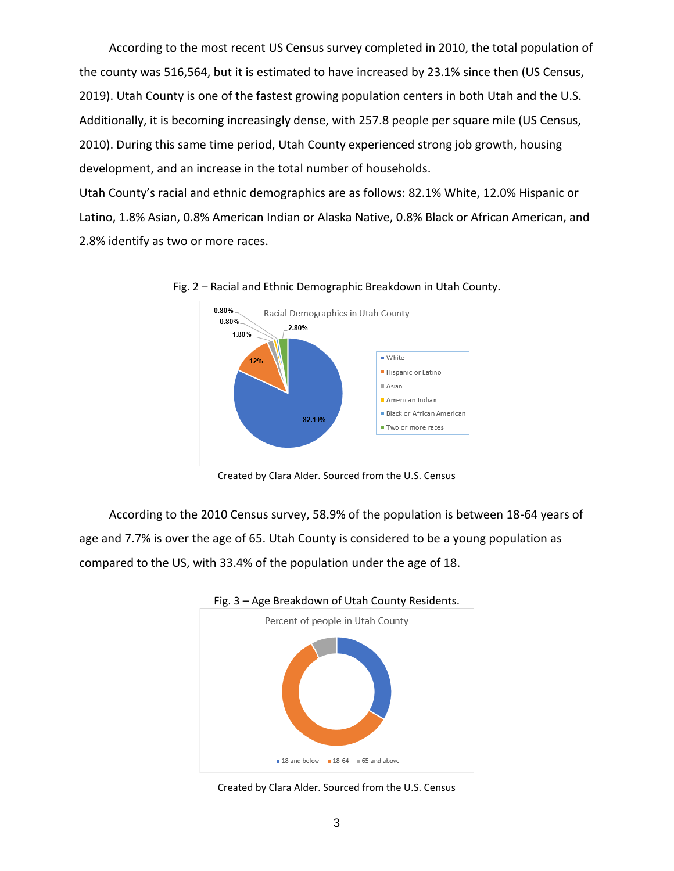According to the most recent US Census survey completed in 2010, the total population of the county was 516,564, but it is estimated to have increased by 23.1% since then (US Census, 2019). Utah County is one of the fastest growing population centers in both Utah and the U.S. Additionally, it is becoming increasingly dense, with 257.8 people per square mile (US Census, 2010). During this same time period, Utah County experienced strong job growth, housing development, and an increase in the total number of households.

Utah County's racial and ethnic demographics are as follows: 82.1% White, 12.0% Hispanic or Latino, 1.8% Asian, 0.8% American Indian or Alaska Native, 0.8% Black or African American, and 2.8% identify as two or more races.



Fig. 2 – Racial and Ethnic Demographic Breakdown in Utah County.

Created by Clara Alder. Sourced from the U.S. Census

According to the 2010 Census survey, 58.9% of the population is between 18-64 years of age and 7.7% is over the age of 65. Utah County is considered to be a young population as compared to the US, with 33.4% of the population under the age of 18.



Fig. 3 – Age Breakdown of Utah County Residents.

Created by Clara Alder. Sourced from the U.S. Census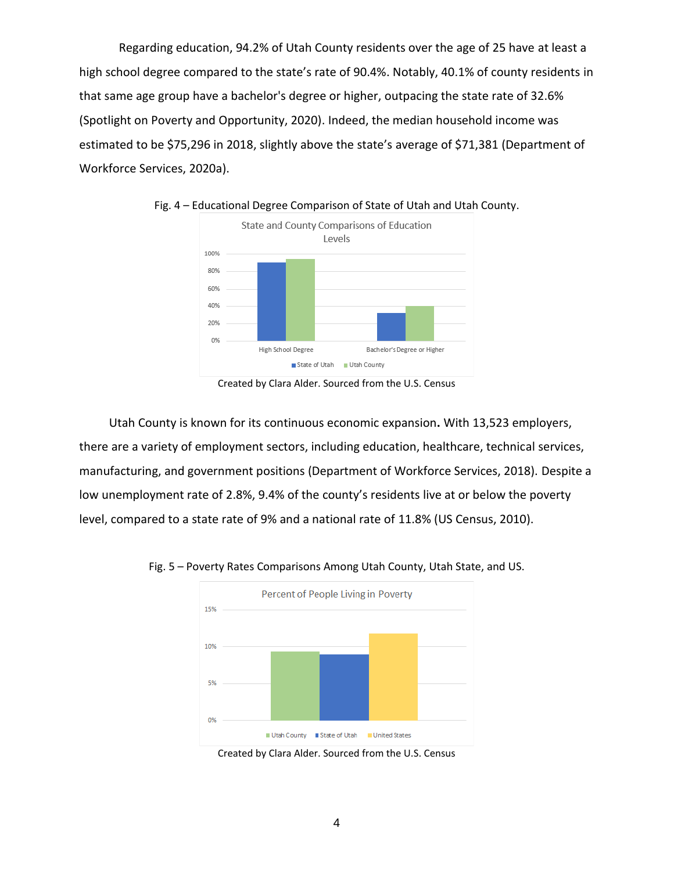Regarding education, 94.2% of Utah County residents over the age of 25 have at least a high school degree compared to the state's rate of 90.4%. Notably, 40.1% of county residents in that same age group have a bachelor's degree or higher, outpacing the state rate of 32.6% (Spotlight on Poverty and Opportunity, 2020). Indeed, the median household income was estimated to be \$75,296 in 2018, slightly above the state's average of \$71,381 (Department of Workforce Services, 2020a).



Fig. 4 – Educational Degree Comparison of State of Utah and Utah County.

Created by Clara Alder. Sourced from the U.S. Census

Utah County is known for its continuous economic expansion**.** With 13,523 employers, there are a variety of employment sectors, including education, healthcare, technical services, manufacturing, and government positions (Department of Workforce Services, 2018). Despite a low unemployment rate of 2.8%, 9.4% of the county's residents live at or below the poverty level, compared to a state rate of 9% and a national rate of 11.8% (US Census, 2010).



Fig. 5 – Poverty Rates Comparisons Among Utah County, Utah State, and US.

Created by Clara Alder. Sourced from the U.S. Census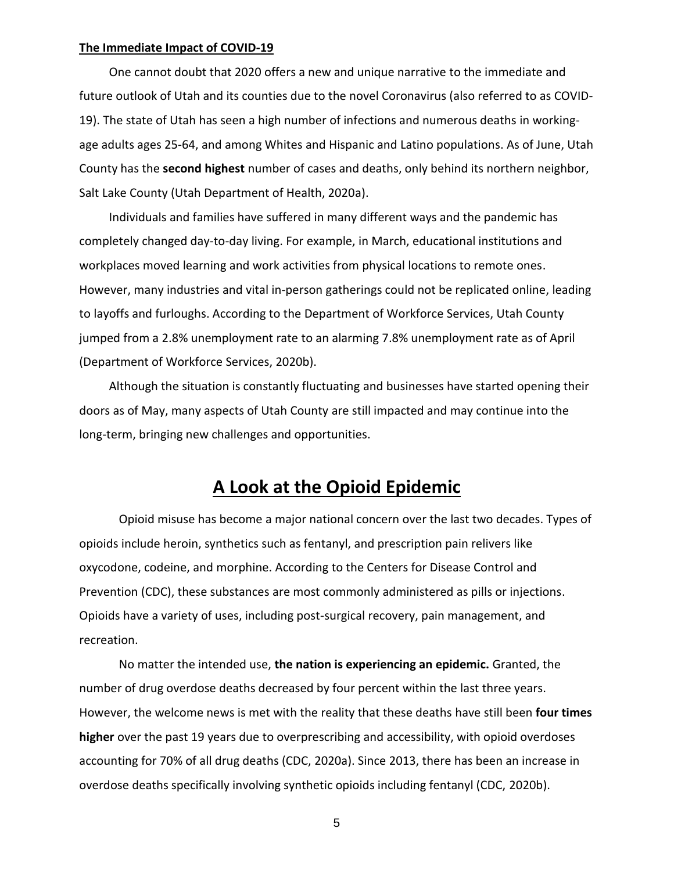#### **The Immediate Impact of COVID-19**

One cannot doubt that 2020 offers a new and unique narrative to the immediate and future outlook of Utah and its counties due to the novel Coronavirus (also referred to as COVID-19). The state of Utah has seen a high number of infections and numerous deaths in workingage adults ages 25-64, and among Whites and Hispanic and Latino populations. As of June, Utah County has the **second highest** number of cases and deaths, only behind its northern neighbor, Salt Lake County (Utah Department of Health, 2020a).

Individuals and families have suffered in many different ways and the pandemic has completely changed day-to-day living. For example, in March, educational institutions and workplaces moved learning and work activities from physical locations to remote ones. However, many industries and vital in-person gatherings could not be replicated online, leading to layoffs and furloughs. According to the Department of Workforce Services, Utah County jumped from a 2.8% unemployment rate to an alarming 7.8% unemployment rate as of April (Department of Workforce Services, 2020b).

Although the situation is constantly fluctuating and businesses have started opening their doors as of May, many aspects of Utah County are still impacted and may continue into the long-term, bringing new challenges and opportunities.

### **A Look at the Opioid Epidemic**

Opioid misuse has become a major national concern over the last two decades. Types of opioids include heroin, synthetics such as fentanyl, and prescription pain relivers like oxycodone, codeine, and morphine. According to the Centers for Disease Control and Prevention (CDC), these substances are most commonly administered as pills or injections. Opioids have a variety of uses, including post-surgical recovery, pain management, and recreation.

No matter the intended use, **the nation is experiencing an epidemic.** Granted, the number of drug overdose deaths decreased by four percent within the last three years. However, the welcome news is met with the reality that these deaths have still been **four times higher** over the past 19 years due to overprescribing and accessibility, with opioid overdoses accounting for 70% of all drug deaths (CDC, 2020a). Since 2013, there has been an increase in overdose deaths specifically involving synthetic opioids including fentanyl (CDC, 2020b).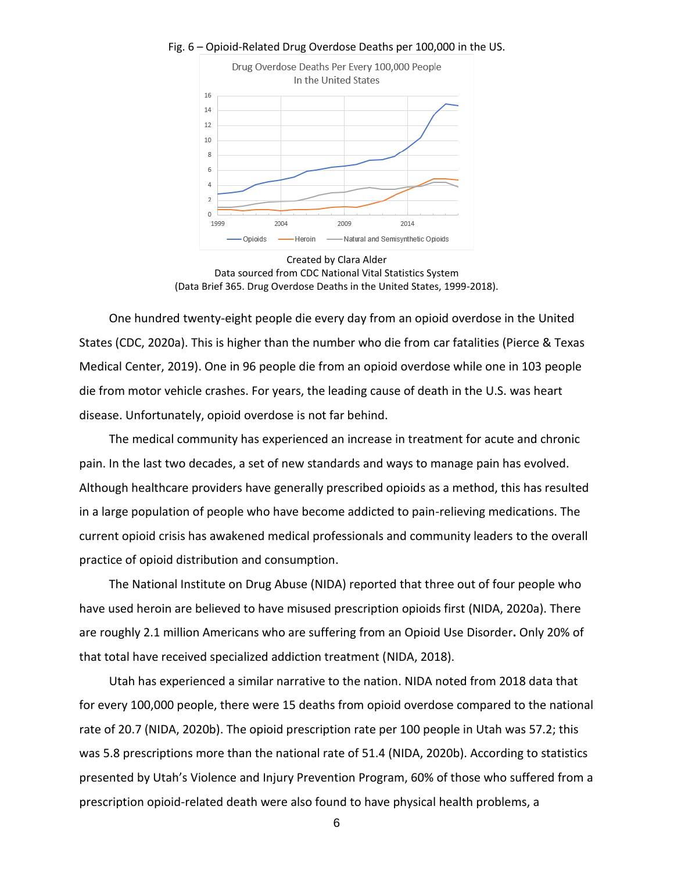

#### Fig. 6 – Opioid-Related Drug Overdose Deaths per 100,000 in the US.



One hundred twenty-eight people die every day from an opioid overdose in the United States (CDC, 2020a). This is higher than the number who die from car fatalities (Pierce & Texas Medical Center, 2019). One in 96 people die from an opioid overdose while one in 103 people die from motor vehicle crashes. For years, the leading cause of death in the U.S. was heart disease. Unfortunately, opioid overdose is not far behind.

The medical community has experienced an increase in treatment for acute and chronic pain. In the last two decades, a set of new standards and ways to manage pain has evolved. Although healthcare providers have generally prescribed opioids as a method, this has resulted in a large population of people who have become addicted to pain-relieving medications. The current opioid crisis has awakened medical professionals and community leaders to the overall practice of opioid distribution and consumption.

The National Institute on Drug Abuse (NIDA) reported that three out of four people who have used heroin are believed to have misused prescription opioids first (NIDA, 2020a). There are roughly 2.1 million Americans who are suffering from an Opioid Use Disorder**.** Only 20% of that total have received specialized addiction treatment (NIDA, 2018).

Utah has experienced a similar narrative to the nation. NIDA noted from 2018 data that for every 100,000 people, there were 15 deaths from opioid overdose compared to the national rate of 20.7 (NIDA, 2020b). The opioid prescription rate per 100 people in Utah was 57.2; this was 5.8 prescriptions more than the national rate of 51.4 (NIDA, 2020b). According to statistics presented by Utah's Violence and Injury Prevention Program, 60% of those who suffered from a prescription opioid-related death were also found to have physical health problems, a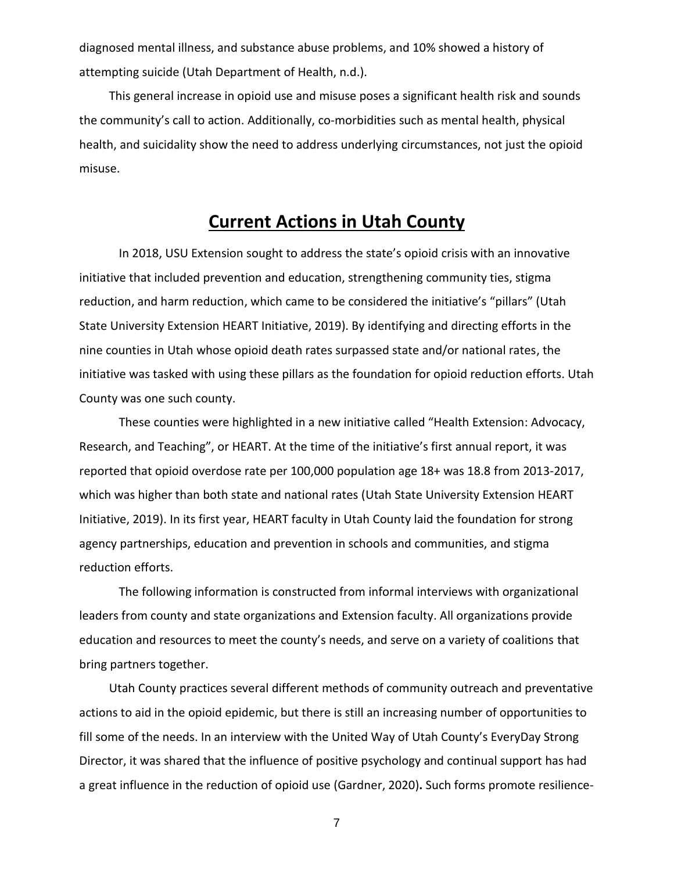diagnosed mental illness, and substance abuse problems, and 10% showed a history of attempting suicide (Utah Department of Health, n.d.).

This general increase in opioid use and misuse poses a significant health risk and sounds the community's call to action. Additionally, co-morbidities such as mental health, physical health, and suicidality show the need to address underlying circumstances, not just the opioid misuse.

### **Current Actions in Utah County**

In 2018, USU Extension sought to address the state's opioid crisis with an innovative initiative that included prevention and education, strengthening community ties, stigma reduction, and harm reduction, which came to be considered the initiative's "pillars" (Utah State University Extension HEART Initiative, 2019). By identifying and directing efforts in the nine counties in Utah whose opioid death rates surpassed state and/or national rates, the initiative was tasked with using these pillars as the foundation for opioid reduction efforts. Utah County was one such county.

These counties were highlighted in a new initiative called "Health Extension: Advocacy, Research, and Teaching", or HEART. At the time of the initiative's first annual report, it was reported that opioid overdose rate per 100,000 population age 18+ was 18.8 from 2013-2017, which was higher than both state and national rates (Utah State University Extension HEART Initiative, 2019). In its first year, HEART faculty in Utah County laid the foundation for strong agency partnerships, education and prevention in schools and communities, and stigma reduction efforts.

The following information is constructed from informal interviews with organizational leaders from county and state organizations and Extension faculty. All organizations provide education and resources to meet the county's needs, and serve on a variety of coalitions that bring partners together.

Utah County practices several different methods of community outreach and preventative actions to aid in the opioid epidemic, but there is still an increasing number of opportunities to fill some of the needs. In an interview with the United Way of Utah County's EveryDay Strong Director, it was shared that the influence of positive psychology and continual support has had a great influence in the reduction of opioid use (Gardner, 2020)**.** Such forms promote resilience-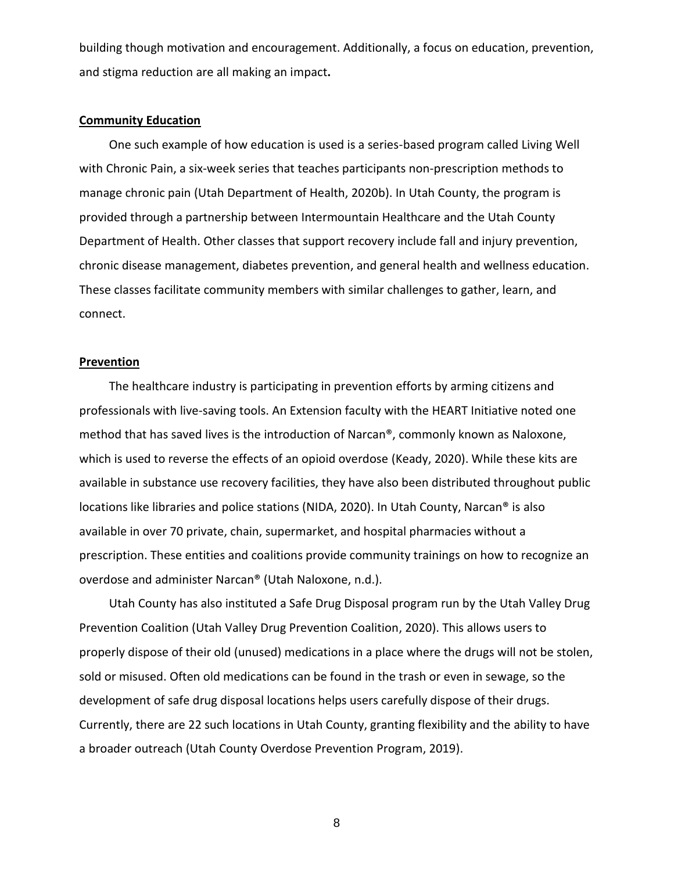building though motivation and encouragement. Additionally, a focus on education, prevention, and stigma reduction are all making an impact**.**

#### **Community Education**

One such example of how education is used is a series-based program called Living Well with Chronic Pain, a six-week series that teaches participants non-prescription methods to manage chronic pain (Utah Department of Health, 2020b). In Utah County, the program is provided through a partnership between Intermountain Healthcare and the Utah County Department of Health. Other classes that support recovery include fall and injury prevention, chronic disease management, diabetes prevention, and general health and wellness education. These classes facilitate community members with similar challenges to gather, learn, and connect.

#### **Prevention**

The healthcare industry is participating in prevention efforts by arming citizens and professionals with live-saving tools. An Extension faculty with the HEART Initiative noted one method that has saved lives is the introduction of Narcan®, commonly known as Naloxone, which is used to reverse the effects of an opioid overdose (Keady, 2020). While these kits are available in substance use recovery facilities, they have also been distributed throughout public locations like libraries and police stations (NIDA, 2020). In Utah County, Narcan® is also available in over 70 private, chain, supermarket, and hospital pharmacies without a prescription. These entities and coalitions provide community trainings on how to recognize an overdose and administer Narcan® (Utah Naloxone, n.d.).

Utah County has also instituted a Safe Drug Disposal program run by the Utah Valley Drug Prevention Coalition (Utah Valley Drug Prevention Coalition, 2020). This allows users to properly dispose of their old (unused) medications in a place where the drugs will not be stolen, sold or misused. Often old medications can be found in the trash or even in sewage, so the development of safe drug disposal locations helps users carefully dispose of their drugs. Currently, there are 22 such locations in Utah County, granting flexibility and the ability to have a broader outreach (Utah County Overdose Prevention Program, 2019).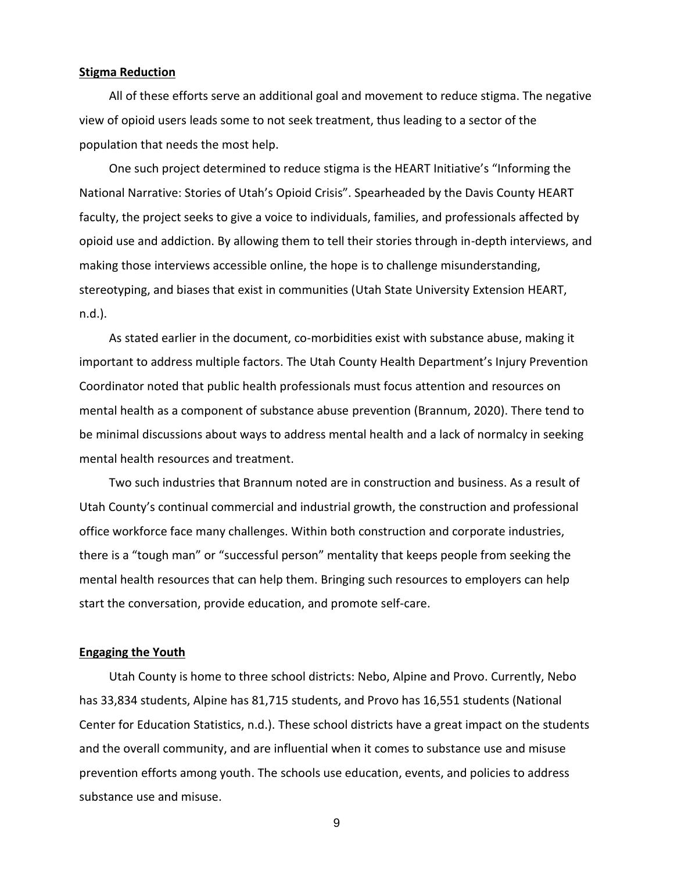#### **Stigma Reduction**

All of these efforts serve an additional goal and movement to reduce stigma. The negative view of opioid users leads some to not seek treatment, thus leading to a sector of the population that needs the most help.

One such project determined to reduce stigma is the HEART Initiative's "Informing the National Narrative: Stories of Utah's Opioid Crisis". Spearheaded by the Davis County HEART faculty, the project seeks to give a voice to individuals, families, and professionals affected by opioid use and addiction. By allowing them to tell their stories through in-depth interviews, and making those interviews accessible online, the hope is to challenge misunderstanding, stereotyping, and biases that exist in communities (Utah State University Extension HEART, n.d.).

As stated earlier in the document, co-morbidities exist with substance abuse, making it important to address multiple factors. The Utah County Health Department's Injury Prevention Coordinator noted that public health professionals must focus attention and resources on mental health as a component of substance abuse prevention (Brannum, 2020). There tend to be minimal discussions about ways to address mental health and a lack of normalcy in seeking mental health resources and treatment.

Two such industries that Brannum noted are in construction and business. As a result of Utah County's continual commercial and industrial growth, the construction and professional office workforce face many challenges. Within both construction and corporate industries, there is a "tough man" or "successful person" mentality that keeps people from seeking the mental health resources that can help them. Bringing such resources to employers can help start the conversation, provide education, and promote self-care.

#### **Engaging the Youth**

Utah County is home to three school districts: Nebo, Alpine and Provo. Currently, Nebo has 33,834 students, Alpine has 81,715 students, and Provo has 16,551 students (National Center for Education Statistics, n.d.). These school districts have a great impact on the students and the overall community, and are influential when it comes to substance use and misuse prevention efforts among youth. The schools use education, events, and policies to address substance use and misuse.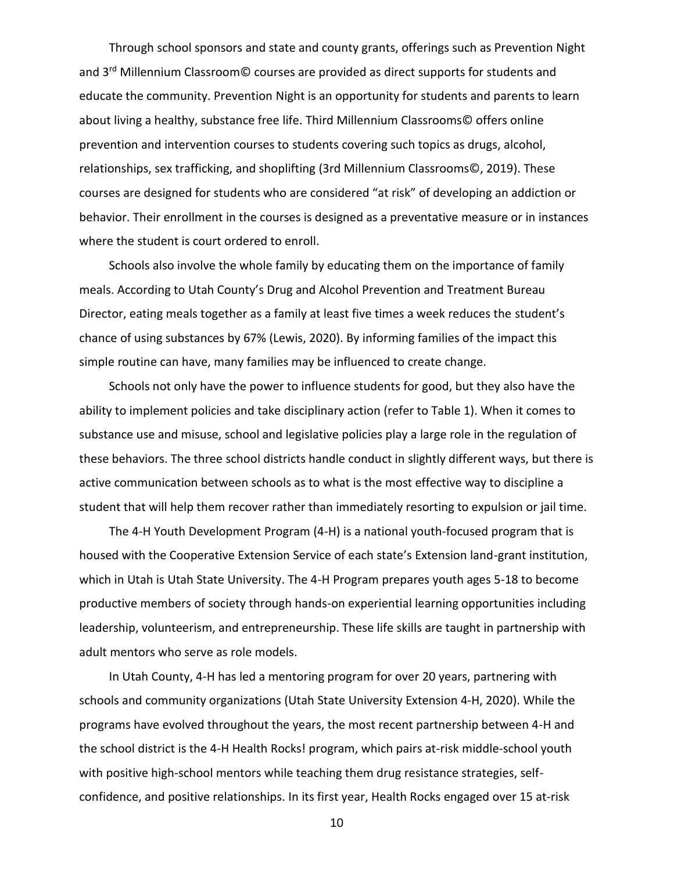Through school sponsors and state and county grants, offerings such as Prevention Night and 3<sup>rd</sup> Millennium Classroom<sup>®</sup> courses are provided as direct supports for students and educate the community. Prevention Night is an opportunity for students and parents to learn about living a healthy, substance free life. Third Millennium Classrooms© offers online prevention and intervention courses to students covering such topics as drugs, alcohol, relationships, sex trafficking, and shoplifting (3rd Millennium Classrooms©, 2019). These courses are designed for students who are considered "at risk" of developing an addiction or behavior. Their enrollment in the courses is designed as a preventative measure or in instances where the student is court ordered to enroll.

Schools also involve the whole family by educating them on the importance of family meals. According to Utah County's Drug and Alcohol Prevention and Treatment Bureau Director, eating meals together as a family at least five times a week reduces the student's chance of using substances by 67% (Lewis, 2020). By informing families of the impact this simple routine can have, many families may be influenced to create change.

Schools not only have the power to influence students for good, but they also have the ability to implement policies and take disciplinary action (refer to Table 1). When it comes to substance use and misuse, school and legislative policies play a large role in the regulation of these behaviors. The three school districts handle conduct in slightly different ways, but there is active communication between schools as to what is the most effective way to discipline a student that will help them recover rather than immediately resorting to expulsion or jail time.

The 4-H Youth Development Program (4-H) is a national youth-focused program that is housed with the Cooperative Extension Service of each state's Extension land-grant institution, which in Utah is Utah State University. The 4-H Program prepares youth ages 5-18 to become productive members of society through hands-on experiential learning opportunities including leadership, volunteerism, and entrepreneurship. These life skills are taught in partnership with adult mentors who serve as role models.

In Utah County, 4-H has led a mentoring program for over 20 years, partnering with schools and community organizations (Utah State University Extension 4-H, 2020). While the programs have evolved throughout the years, the most recent partnership between 4-H and the school district is the 4-H Health Rocks! program, which pairs at-risk middle-school youth with positive high-school mentors while teaching them drug resistance strategies, selfconfidence, and positive relationships. In its first year, Health Rocks engaged over 15 at-risk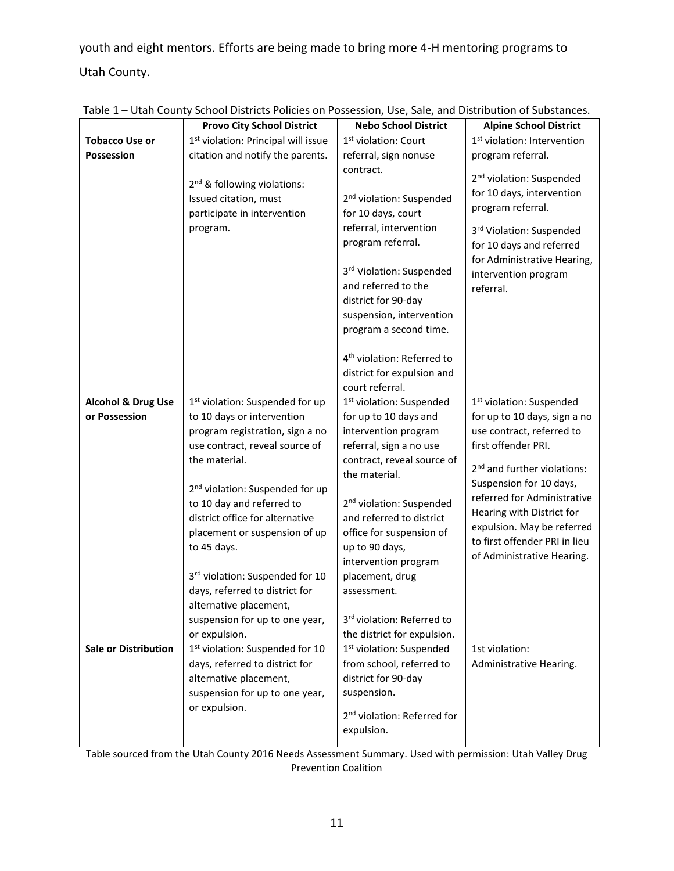youth and eight mentors. Efforts are being made to bring more 4-H mentoring programs to Utah County.

|                               | <b>Provo City School District</b>                                                                                                                                                                                                                                                                                                                                                                   | <b>Nebo School District</b>                                                                                                                                                                                                                                                                                                                       | <b>Alpine School District</b>                                                                                                                                                                                                                                                   |
|-------------------------------|-----------------------------------------------------------------------------------------------------------------------------------------------------------------------------------------------------------------------------------------------------------------------------------------------------------------------------------------------------------------------------------------------------|---------------------------------------------------------------------------------------------------------------------------------------------------------------------------------------------------------------------------------------------------------------------------------------------------------------------------------------------------|---------------------------------------------------------------------------------------------------------------------------------------------------------------------------------------------------------------------------------------------------------------------------------|
| <b>Tobacco Use or</b>         | 1 <sup>st</sup> violation: Principal will issue                                                                                                                                                                                                                                                                                                                                                     | 1 <sup>st</sup> violation: Court                                                                                                                                                                                                                                                                                                                  | 1 <sup>st</sup> violation: Intervention                                                                                                                                                                                                                                         |
| Possession                    | citation and notify the parents.                                                                                                                                                                                                                                                                                                                                                                    | referral, sign nonuse                                                                                                                                                                                                                                                                                                                             | program referral.                                                                                                                                                                                                                                                               |
|                               | 2 <sup>nd</sup> & following violations:<br>Issued citation, must<br>participate in intervention<br>program.                                                                                                                                                                                                                                                                                         | contract.<br>2 <sup>nd</sup> violation: Suspended<br>for 10 days, court<br>referral, intervention<br>program referral.<br>3rd Violation: Suspended<br>and referred to the<br>district for 90-day<br>suspension, intervention<br>program a second time.<br>4 <sup>th</sup> violation: Referred to<br>district for expulsion and<br>court referral. | 2 <sup>nd</sup> violation: Suspended<br>for 10 days, intervention<br>program referral.<br>3rd Violation: Suspended<br>for 10 days and referred<br>for Administrative Hearing,<br>intervention program<br>referral.                                                              |
| <b>Alcohol &amp; Drug Use</b> | 1 <sup>st</sup> violation: Suspended for up                                                                                                                                                                                                                                                                                                                                                         | 1 <sup>st</sup> violation: Suspended                                                                                                                                                                                                                                                                                                              | 1 <sup>st</sup> violation: Suspended                                                                                                                                                                                                                                            |
| or Possession                 | to 10 days or intervention                                                                                                                                                                                                                                                                                                                                                                          | for up to 10 days and                                                                                                                                                                                                                                                                                                                             | for up to 10 days, sign a no                                                                                                                                                                                                                                                    |
|                               | program registration, sign a no<br>use contract, reveal source of<br>the material.<br>2 <sup>nd</sup> violation: Suspended for up<br>to 10 day and referred to<br>district office for alternative<br>placement or suspension of up<br>to 45 days.<br>3rd violation: Suspended for 10<br>days, referred to district for<br>alternative placement,<br>suspension for up to one year,<br>or expulsion. | intervention program<br>referral, sign a no use<br>contract, reveal source of<br>the material.<br>2 <sup>nd</sup> violation: Suspended<br>and referred to district<br>office for suspension of<br>up to 90 days,<br>intervention program<br>placement, drug<br>assessment.<br>3rd violation: Referred to<br>the district for expulsion.           | use contract, referred to<br>first offender PRI.<br>2 <sup>nd</sup> and further violations:<br>Suspension for 10 days,<br>referred for Administrative<br>Hearing with District for<br>expulsion. May be referred<br>to first offender PRI in lieu<br>of Administrative Hearing. |
| <b>Sale or Distribution</b>   | 1st violation: Suspended for 10<br>days, referred to district for<br>alternative placement,<br>suspension for up to one year,<br>or expulsion.                                                                                                                                                                                                                                                      | 1 <sup>st</sup> violation: Suspended<br>from school, referred to<br>district for 90-day<br>suspension.<br>2 <sup>nd</sup> violation: Referred for<br>expulsion.                                                                                                                                                                                   | 1st violation:<br>Administrative Hearing.                                                                                                                                                                                                                                       |

Table 1 – Utah County School Districts Policies on Possession, Use, Sale, and Distribution of Substances.

Table sourced from the Utah County 2016 Needs Assessment Summary. Used with permission: Utah Valley Drug Prevention Coalition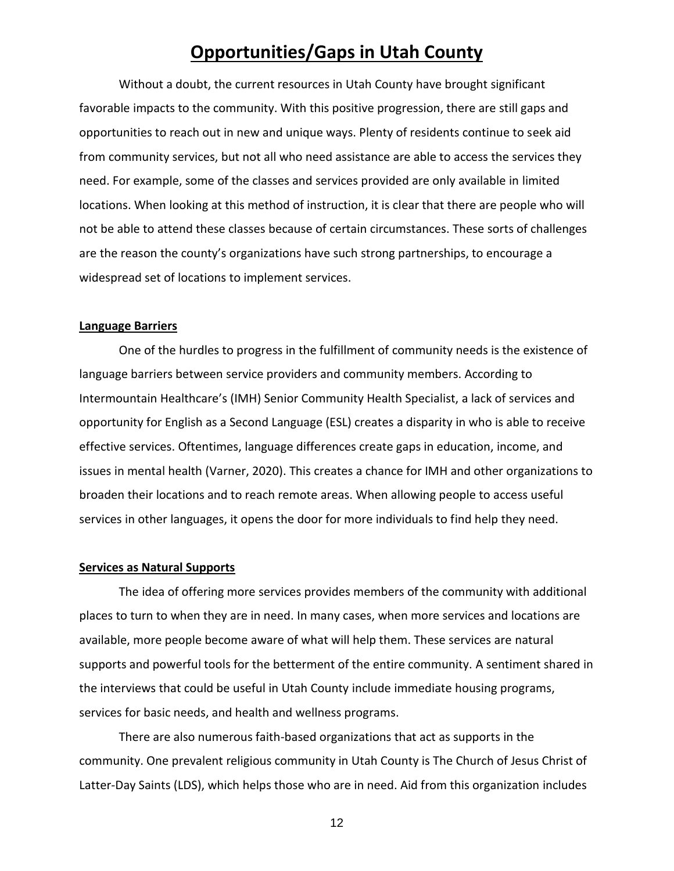### **Opportunities/Gaps in Utah County**

Without a doubt, the current resources in Utah County have brought significant favorable impacts to the community. With this positive progression, there are still gaps and opportunities to reach out in new and unique ways. Plenty of residents continue to seek aid from community services, but not all who need assistance are able to access the services they need. For example, some of the classes and services provided are only available in limited locations. When looking at this method of instruction, it is clear that there are people who will not be able to attend these classes because of certain circumstances. These sorts of challenges are the reason the county's organizations have such strong partnerships, to encourage a widespread set of locations to implement services.

#### **Language Barriers**

One of the hurdles to progress in the fulfillment of community needs is the existence of language barriers between service providers and community members. According to Intermountain Healthcare's (IMH) Senior Community Health Specialist, a lack of services and opportunity for English as a Second Language (ESL) creates a disparity in who is able to receive effective services. Oftentimes, language differences create gaps in education, income, and issues in mental health (Varner, 2020). This creates a chance for IMH and other organizations to broaden their locations and to reach remote areas. When allowing people to access useful services in other languages, it opens the door for more individuals to find help they need.

#### **Services as Natural Supports**

The idea of offering more services provides members of the community with additional places to turn to when they are in need. In many cases, when more services and locations are available, more people become aware of what will help them. These services are natural supports and powerful tools for the betterment of the entire community. A sentiment shared in the interviews that could be useful in Utah County include immediate housing programs, services for basic needs, and health and wellness programs.

There are also numerous faith-based organizations that act as supports in the community. One prevalent religious community in Utah County is The Church of Jesus Christ of Latter-Day Saints (LDS), which helps those who are in need. Aid from this organization includes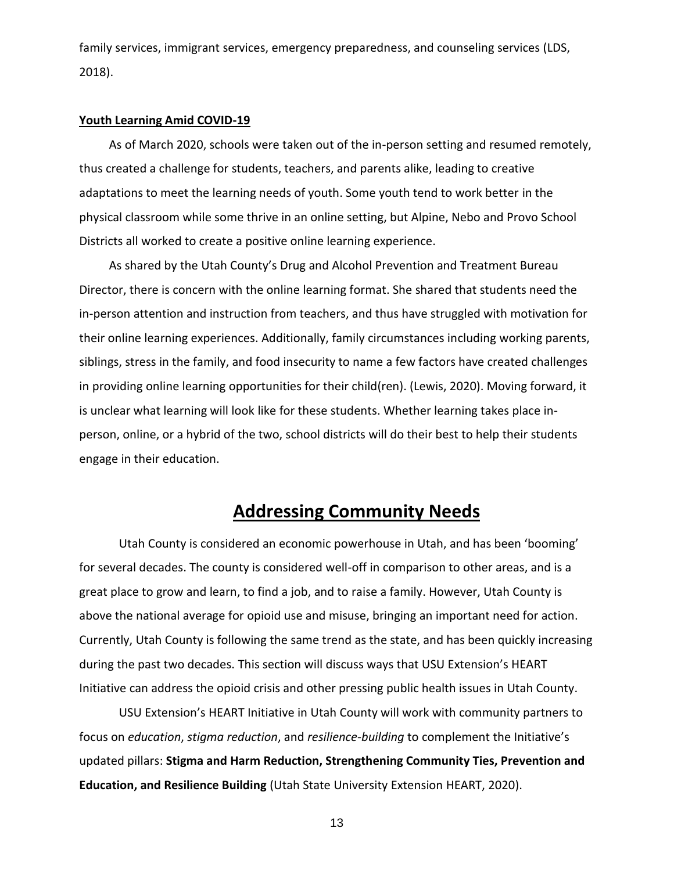family services, immigrant services, emergency preparedness, and counseling services (LDS, 2018).

#### **Youth Learning Amid COVID-19**

As of March 2020, schools were taken out of the in-person setting and resumed remotely, thus created a challenge for students, teachers, and parents alike, leading to creative adaptations to meet the learning needs of youth. Some youth tend to work better in the physical classroom while some thrive in an online setting, but Alpine, Nebo and Provo School Districts all worked to create a positive online learning experience.

As shared by the Utah County's Drug and Alcohol Prevention and Treatment Bureau Director, there is concern with the online learning format. She shared that students need the in-person attention and instruction from teachers, and thus have struggled with motivation for their online learning experiences. Additionally, family circumstances including working parents, siblings, stress in the family, and food insecurity to name a few factors have created challenges in providing online learning opportunities for their child(ren). (Lewis, 2020). Moving forward, it is unclear what learning will look like for these students. Whether learning takes place inperson, online, or a hybrid of the two, school districts will do their best to help their students engage in their education.

### **Addressing Community Needs**

Utah County is considered an economic powerhouse in Utah, and has been 'booming' for several decades. The county is considered well-off in comparison to other areas, and is a great place to grow and learn, to find a job, and to raise a family. However, Utah County is above the national average for opioid use and misuse, bringing an important need for action. Currently, Utah County is following the same trend as the state, and has been quickly increasing during the past two decades. This section will discuss ways that USU Extension's HEART Initiative can address the opioid crisis and other pressing public health issues in Utah County.

USU Extension's HEART Initiative in Utah County will work with community partners to focus on *education*, *stigma reduction*, and *resilience*-*building* to complement the Initiative's updated pillars: **Stigma and Harm Reduction, Strengthening Community Ties, Prevention and Education, and Resilience Building** (Utah State University Extension HEART, 2020).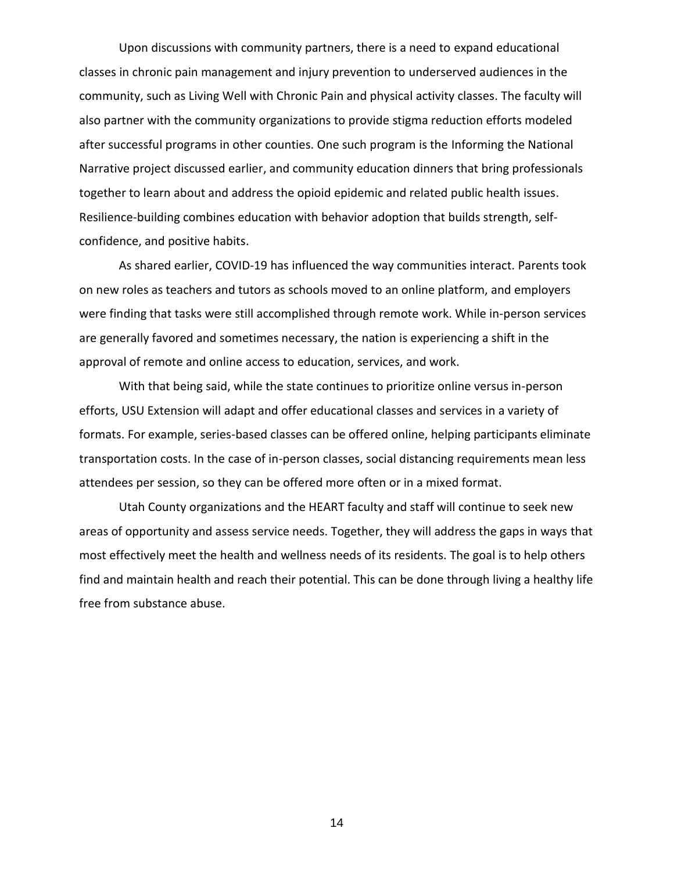Upon discussions with community partners, there is a need to expand educational classes in chronic pain management and injury prevention to underserved audiences in the community, such as Living Well with Chronic Pain and physical activity classes. The faculty will also partner with the community organizations to provide stigma reduction efforts modeled after successful programs in other counties. One such program is the Informing the National Narrative project discussed earlier, and community education dinners that bring professionals together to learn about and address the opioid epidemic and related public health issues. Resilience-building combines education with behavior adoption that builds strength, selfconfidence, and positive habits.

As shared earlier, COVID-19 has influenced the way communities interact. Parents took on new roles as teachers and tutors as schools moved to an online platform, and employers were finding that tasks were still accomplished through remote work. While in-person services are generally favored and sometimes necessary, the nation is experiencing a shift in the approval of remote and online access to education, services, and work.

With that being said, while the state continues to prioritize online versus in-person efforts, USU Extension will adapt and offer educational classes and services in a variety of formats. For example, series-based classes can be offered online, helping participants eliminate transportation costs. In the case of in-person classes, social distancing requirements mean less attendees per session, so they can be offered more often or in a mixed format.

Utah County organizations and the HEART faculty and staff will continue to seek new areas of opportunity and assess service needs. Together, they will address the gaps in ways that most effectively meet the health and wellness needs of its residents. The goal is to help others find and maintain health and reach their potential. This can be done through living a healthy life free from substance abuse.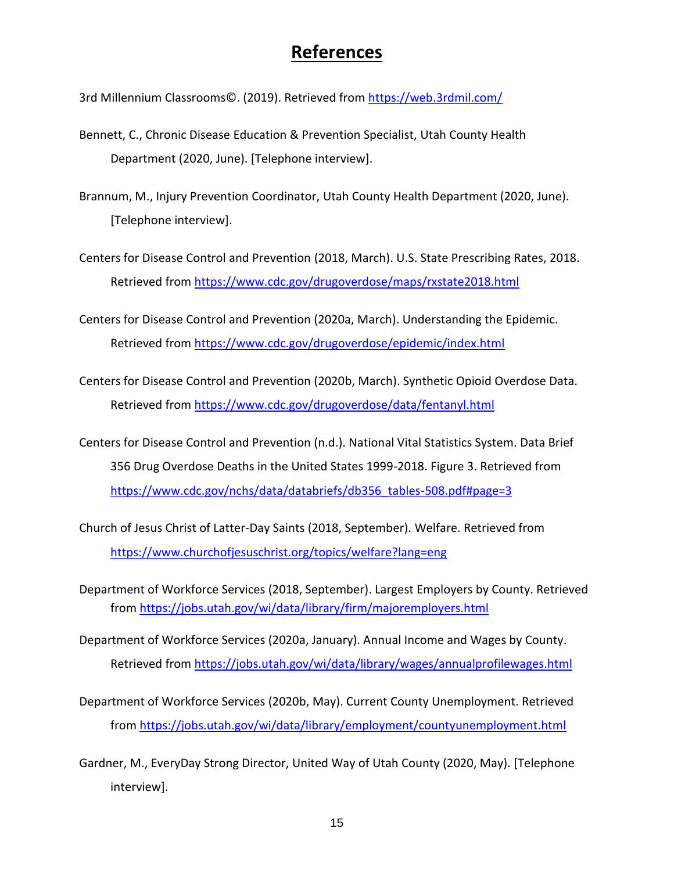### **References**

3rd Millennium Classrooms©. (2019). Retrieved from<https://web.3rdmil.com/>

- Bennett, C., Chronic Disease Education & Prevention Specialist, Utah County Health Department (2020, June). [Telephone interview].
- Brannum, M., Injury Prevention Coordinator, Utah County Health Department (2020, June). [Telephone interview].
- Centers for Disease Control and Prevention (2018, March). U.S. State Prescribing Rates, 2018. Retrieved from<https://www.cdc.gov/drugoverdose/maps/rxstate2018.html>
- Centers for Disease Control and Prevention (2020a, March). Understanding the Epidemic. Retrieved from<https://www.cdc.gov/drugoverdose/epidemic/index.html>
- Centers for Disease Control and Prevention (2020b, March). Synthetic Opioid Overdose Data. Retrieved from<https://www.cdc.gov/drugoverdose/data/fentanyl.html>
- Centers for Disease Control and Prevention (n.d.). National Vital Statistics System. Data Brief 356 Drug Overdose Deaths in the United States 1999-2018. Figure 3. Retrieved from [https://www.cdc.gov/nchs/data/databriefs/db356\\_tables-508.pdf#page=3](https://www.cdc.gov/nchs/data/databriefs/db356_tables-508.pdf#page=3)
- Church of Jesus Christ of Latter-Day Saints (2018, September). Welfare. Retrieved from <https://www.churchofjesuschrist.org/topics/welfare?lang=eng>
- Department of Workforce Services (2018, September). Largest Employers by County. Retrieved from<https://jobs.utah.gov/wi/data/library/firm/majoremployers.html>
- Department of Workforce Services (2020a, January). Annual Income and Wages by County. Retrieved from<https://jobs.utah.gov/wi/data/library/wages/annualprofilewages.html>
- Department of Workforce Services (2020b, May). Current County Unemployment. Retrieved from<https://jobs.utah.gov/wi/data/library/employment/countyunemployment.html>
- Gardner, M., EveryDay Strong Director, United Way of Utah County (2020, May). [Telephone interview].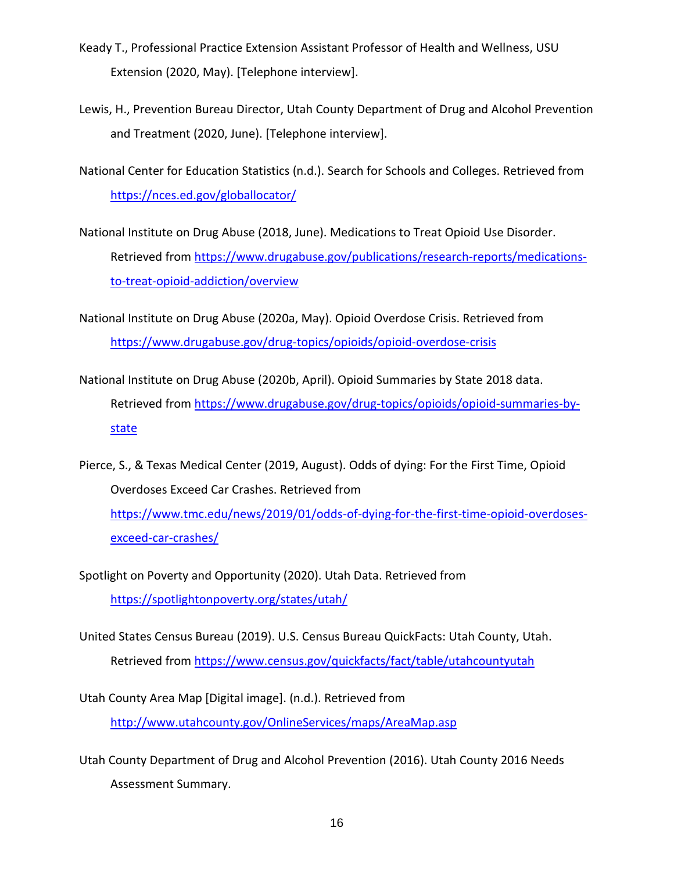- Keady T., Professional Practice Extension Assistant Professor of Health and Wellness, USU Extension (2020, May). [Telephone interview].
- Lewis, H., Prevention Bureau Director, Utah County Department of Drug and Alcohol Prevention and Treatment (2020, June). [Telephone interview].

National Center for Education Statistics (n.d.). Search for Schools and Colleges. Retrieved from <https://nces.ed.gov/globallocator/>

National Institute on Drug Abuse (2018, June). Medications to Treat Opioid Use Disorder. Retrieved from [https://www.drugabuse.gov/publications/research-reports/medications](https://www.drugabuse.gov/publications/research-reports/medications-to-treat-opioid-addiction/overview)[to-treat-opioid-addiction/overview](https://www.drugabuse.gov/publications/research-reports/medications-to-treat-opioid-addiction/overview)

National Institute on Drug Abuse (2020a, May). Opioid Overdose Crisis. Retrieved from <https://www.drugabuse.gov/drug-topics/opioids/opioid-overdose-crisis>

- National Institute on Drug Abuse (2020b, April). Opioid Summaries by State 2018 data. Retrieved from [https://www.drugabuse.gov/drug-topics/opioids/opioid-summaries-by](https://www.drugabuse.gov/drug-topics/opioids/opioid-summaries-by-state)[state](https://www.drugabuse.gov/drug-topics/opioids/opioid-summaries-by-state)
- Pierce, S., & Texas Medical Center (2019, August). Odds of dying: For the First Time, Opioid Overdoses Exceed Car Crashes. Retrieved from [https://www.tmc.edu/news/2019/01/odds-of-dying-for-the-first-time-opioid-overdoses](https://www.tmc.edu/news/2019/01/odds-of-dying-for-the-first-time-opioid-overdoses-exceed-car-crashes/)[exceed-car-crashes/](https://www.tmc.edu/news/2019/01/odds-of-dying-for-the-first-time-opioid-overdoses-exceed-car-crashes/)
- Spotlight on Poverty and Opportunity (2020). Utah Data. Retrieved from <https://spotlightonpoverty.org/states/utah/>
- United States Census Bureau (2019). U.S. Census Bureau QuickFacts: Utah County, Utah. Retrieved from<https://www.census.gov/quickfacts/fact/table/utahcountyutah>
- Utah County Area Map [Digital image]. (n.d.). Retrieved from <http://www.utahcounty.gov/OnlineServices/maps/AreaMap.asp>
- Utah County Department of Drug and Alcohol Prevention (2016). Utah County 2016 Needs Assessment Summary.